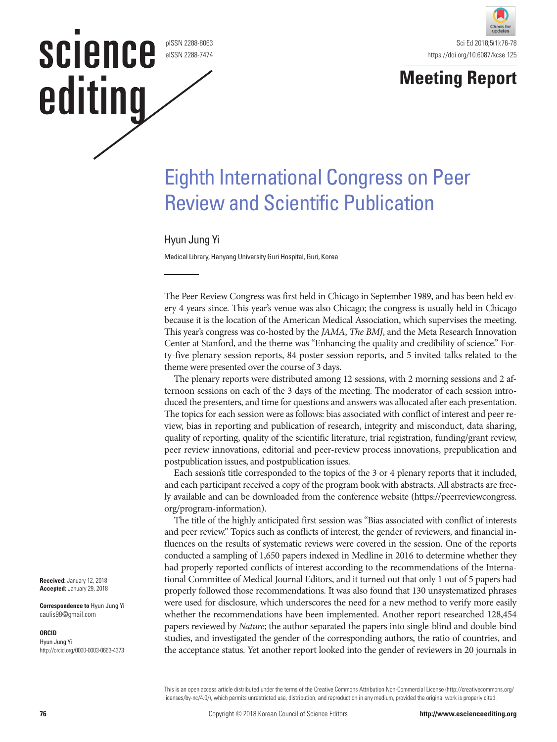pISSN 2288-8063 eISSN 2288-7474

**SCIENCE** 

editing



### **Meeting Report**

# Eighth International Congress on Peer Review and Scientific Publication

### Hyun Jung Yi

Medical Library, Hanyang University Guri Hospital, Guri, Korea

The Peer Review Congress was first held in Chicago in September 1989, and has been held every 4 years since. This year's venue was also Chicago; the congress is usually held in Chicago because it is the location of the American Medical Association, which supervises the meeting. This year's congress was co-hosted by the *JAMA*, *The BMJ*, and the Meta Research Innovation Center at Stanford, and the theme was "Enhancing the quality and credibility of science." Forty-five plenary session reports, 84 poster session reports, and 5 invited talks related to the theme were presented over the course of 3 days.

The plenary reports were distributed among 12 sessions, with 2 morning sessions and 2 afternoon sessions on each of the 3 days of the meeting. The moderator of each session introduced the presenters, and time for questions and answers was allocated after each presentation. The topics for each session were as follows: bias associated with conflict of interest and peer review, bias in reporting and publication of research, integrity and misconduct, data sharing, quality of reporting, quality of the scientific literature, trial registration, funding/grant review, peer review innovations, editorial and peer-review process innovations, prepublication and postpublication issues, and postpublication issues.

Each session's title corresponded to the topics of the 3 or 4 plenary reports that it included, and each participant received a copy of the program book with abstracts. All abstracts are freely available and can be downloaded from the conference website (https://peerreviewcongress. org/program-information).

The title of the highly anticipated first session was "Bias associated with conflict of interests and peer review." Topics such as conflicts of interest, the gender of reviewers, and financial influences on the results of systematic reviews were covered in the session. One of the reports conducted a sampling of 1,650 papers indexed in Medline in 2016 to determine whether they had properly reported conflicts of interest according to the recommendations of the International Committee of Medical Journal Editors, and it turned out that only 1 out of 5 papers had properly followed those recommendations. It was also found that 130 unsystematized phrases were used for disclosure, which underscores the need for a new method to verify more easily whether the recommendations have been implemented. Another report researched 128,454 papers reviewed by *Nature*; the author separated the papers into single-blind and double-bind studies, and investigated the gender of the corresponding authors, the ratio of countries, and the acceptance status. Yet another report looked into the gender of reviewers in 20 journals in

This is an open access article distributed under the terms of the Creative Commons Attribution Non-Commercial License (http://creativecommons.org/ licenses/by-nc/4.0/), which permits unrestricted use, distribution, and reproduction in any medium, provided the original work is properly cited.

**Correspondence to** Hyun Jung Yi caulis98@gmail.com

#### **ORCID**

Hyun Jung Yi http://orcid.org/0000-0003-0663-4373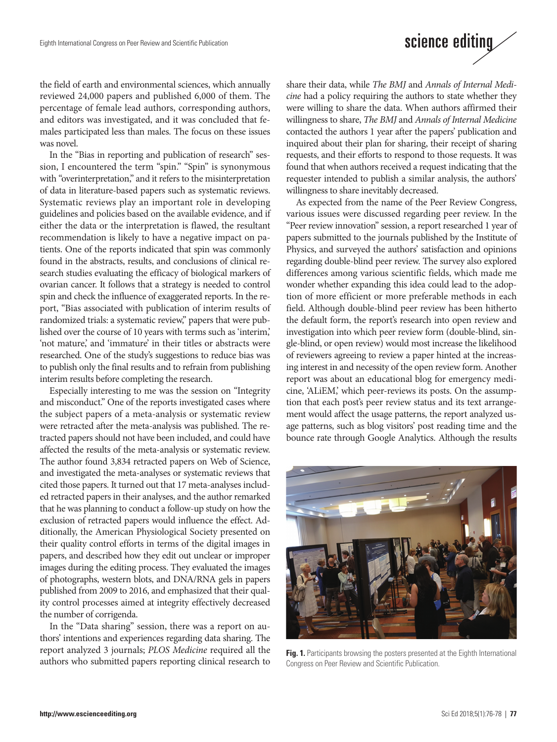# science editing

the field of earth and environmental sciences, which annually reviewed 24,000 papers and published 6,000 of them. The percentage of female lead authors, corresponding authors, and editors was investigated, and it was concluded that females participated less than males. The focus on these issues was novel.

In the "Bias in reporting and publication of research" session, I encountered the term "spin." "Spin" is synonymous with "overinterpretation," and it refers to the misinterpretation of data in literature-based papers such as systematic reviews. Systematic reviews play an important role in developing guidelines and policies based on the available evidence, and if either the data or the interpretation is flawed, the resultant recommendation is likely to have a negative impact on patients. One of the reports indicated that spin was commonly found in the abstracts, results, and conclusions of clinical research studies evaluating the efficacy of biological markers of ovarian cancer. It follows that a strategy is needed to control spin and check the influence of exaggerated reports. In the report, "Bias associated with publication of interim results of randomized trials: a systematic review," papers that were published over the course of 10 years with terms such as 'interim,' 'not mature,' and 'immature' in their titles or abstracts were researched. One of the study's suggestions to reduce bias was to publish only the final results and to refrain from publishing interim results before completing the research.

Especially interesting to me was the session on "Integrity and misconduct." One of the reports investigated cases where the subject papers of a meta-analysis or systematic review were retracted after the meta-analysis was published. The retracted papers should not have been included, and could have affected the results of the meta-analysis or systematic review. The author found 3,834 retracted papers on Web of Science, and investigated the meta-analyses or systematic reviews that cited those papers. It turned out that 17 meta-analyses included retracted papers in their analyses, and the author remarked that he was planning to conduct a follow-up study on how the exclusion of retracted papers would influence the effect. Additionally, the American Physiological Society presented on their quality control efforts in terms of the digital images in papers, and described how they edit out unclear or improper images during the editing process. They evaluated the images of photographs, western blots, and DNA/RNA gels in papers published from 2009 to 2016, and emphasized that their quality control processes aimed at integrity effectively decreased the number of corrigenda.

In the "Data sharing" session, there was a report on authors' intentions and experiences regarding data sharing. The report analyzed 3 journals; *PLOS Medicine* required all the authors who submitted papers reporting clinical research to share their data, while *The BMJ* and *Annals of Internal Medicine* had a policy requiring the authors to state whether they were willing to share the data. When authors affirmed their willingness to share, *The BMJ* and *Annals of Internal Medicine*  contacted the authors 1 year after the papers' publication and inquired about their plan for sharing, their receipt of sharing requests, and their efforts to respond to those requests. It was found that when authors received a request indicating that the requester intended to publish a similar analysis, the authors' willingness to share inevitably decreased.

As expected from the name of the Peer Review Congress, various issues were discussed regarding peer review. In the "Peer review innovation" session, a report researched 1 year of papers submitted to the journals published by the Institute of Physics, and surveyed the authors' satisfaction and opinions regarding double-blind peer review. The survey also explored differences among various scientific fields, which made me wonder whether expanding this idea could lead to the adoption of more efficient or more preferable methods in each field. Although double-blind peer review has been hitherto the default form, the report's research into open review and investigation into which peer review form (double-blind, single-blind, or open review) would most increase the likelihood of reviewers agreeing to review a paper hinted at the increasing interest in and necessity of the open review form. Another report was about an educational blog for emergency medicine, 'ALiEM,' which peer-reviews its posts. On the assumption that each post's peer review status and its text arrangement would affect the usage patterns, the report analyzed usage patterns, such as blog visitors' post reading time and the bounce rate through Google Analytics. Although the results



Fig. 1. Participants browsing the posters presented at the Eighth International Congress on Peer Review and Scientific Publication.